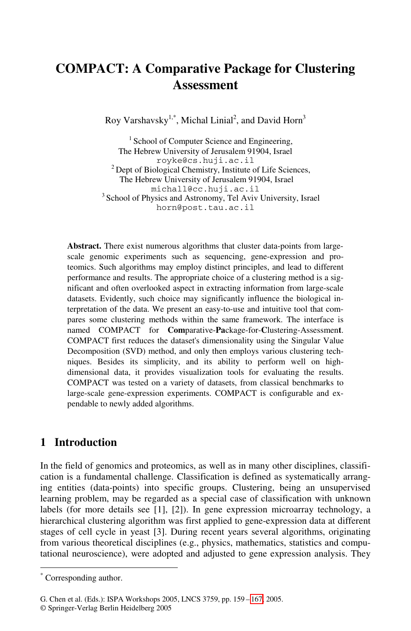# **COMPACT: A Comparative Package for Clustering Assessment**

Roy Varshavsky<sup>1,\*</sup>, Michal Linial<sup>2</sup>, and David Horn<sup>3</sup>

<sup>1</sup> School of Computer Science and Engineering, The Hebrew University of Jerusalem 91904, Israel<br>royke@cs.huji.ac.il  $2$  Dept of Biological Chemistry, Institute of Life Sciences, The Hebrew University of Jerusalem 91904, Israel<br>michall@cc.huji.ac.il <sup>3</sup> School of Physics and Astronomy, Tel Aviv University, Israel horn@post.tau.ac.il

**Abstract.** There exist numerous algorithms that cluster data-points from largescale genomic experiments such as sequencing, gene-expression and proteomics. Such algorithms may employ distinct principles, and lead to different performance and results. The appropriate choice of a clustering method is a significant and often overlooked aspect in extracting information from large-scale datasets. Evidently, such choice may significantly influence the biological interpretation of the data. We present an easy-to-use and intuitive tool that compares some clustering methods within the same framework. The interface is named COMPACT for **Com**parative-**Pa**ckage-for-**C**lustering-Assessmen**t**. COMPACT first reduces the dataset's dimensionality using the Singular Value Decomposition (SVD) method, and only then employs various clustering techniques. Besides its simplicity, and its ability to perform well on highdimensional data, it provides visualization tools for evaluating the results. COMPACT was tested on a variety of datasets, from classical benchmarks to large-scale gene-expression experiments. COMPACT is configurable and expendable to newly added algorithms.

# **1 Introduction**

In the field of genomics and proteomics, as well as in many other disciplines, classification is a fundamental challenge. Classification is defined as systematically arranging entities (data-points) into specific groups. Clustering, being an unsupervised learning problem, may be regarded as a special case of classification with unknown labels (for more details see [1], [2]). In gene expression microarray technology, a hierarchical clustering algorithm [was](#page-8-0) first applied to gene-expression data at different stages of cell cycle in yeast [3]. During recent years several algorithms, originating from various theoretical disciplines (e.g., physics, mathematics, statistics and computational neuroscience), were adopted and adjusted to gene expression analysis. They

-

<sup>\*</sup> Corresponding author.

G. Chen et al. (Eds.): ISPA Workshops 2005, LNCS 3759, pp. 159 – 167, 2005.

<sup>©</sup> Springer-Verlag Berlin Heidelberg 2005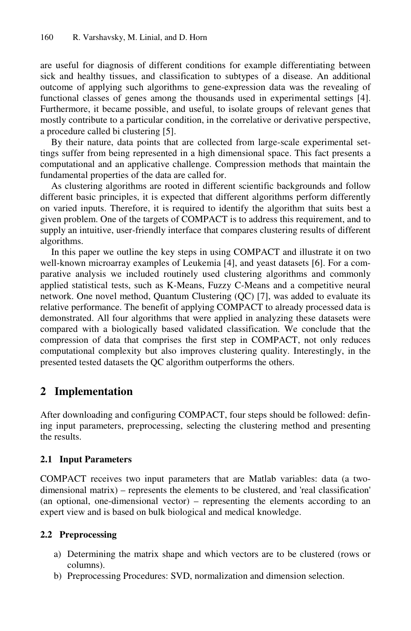are useful for diagnosis of different conditions for example differentiating between sick and healthy tissues, and classification to subtypes of a disease. An additional outcome of applying such algorithms to gene-expression data was the revealing of functional classes of genes among the thousands used in experimental settings [4]. Furthermore, it became possible, and useful, to isolate groups of relevant genes that mostly contribute to a particular condition, in the correlative or derivative perspective, a procedure called bi clustering [5].

By their nature, data points that are collected from large-scale experimental settings suffer from being represented in a high dimensional space. This fact presents a computational and an applicative challenge. Compression methods that maintain the fundamental properties of the data are called for.

As clustering algorithms are rooted in different scientific backgrounds and follow different basic principles, it is expected that different algorithms perform differently on varied inputs. Therefore, it is required to identify the algorithm that suits best a given problem. One of the targets of COMPACT is to address this requirement, and to supply an intuitive, user-friendly interface that compares clustering results of different algorithms.

In this paper we outline the key steps in using COMPACT and illustrate it on two well-known microarray examples of Leukemia [4], and yeast datasets [6]. For a comparative analysis we included routinely used clustering algorithms and commonly applied statistical tests, such as K-Means, Fuzzy C-Means and a competitive neural network. One novel method, Quantum Clustering (QC) [7], was added to evaluate its relative performance. The benefit of applying COMPACT to already processed data is demonstrated. All four algorithms that were applied in analyzing these datasets were compared with a biologically based validated classification. We conclude that the compression of data that comprises the first step in COMPACT, not only reduces computational complexity but also improves clustering quality. Interestingly, in the presented tested datasets the QC algorithm outperforms the others.

# **2 Implementation**

After downloading and configuring COMPACT, four steps should be followed: defining input parameters, preprocessing, selecting the clustering method and presenting the results.

### **2.1 Input Parameters**

COMPACT receives two input parameters that are Matlab variables: data (a twodimensional matrix) – represents the elements to be clustered, and 'real classification' (an optional, one-dimensional vector) – representing the elements according to an expert view and is based on bulk biological and medical knowledge.

### **2.2 Preprocessing**

- a) Determining the matrix shape and which vectors are to be clustered (rows or columns).
- b) Preprocessing Procedures: SVD, normalization and dimension selection.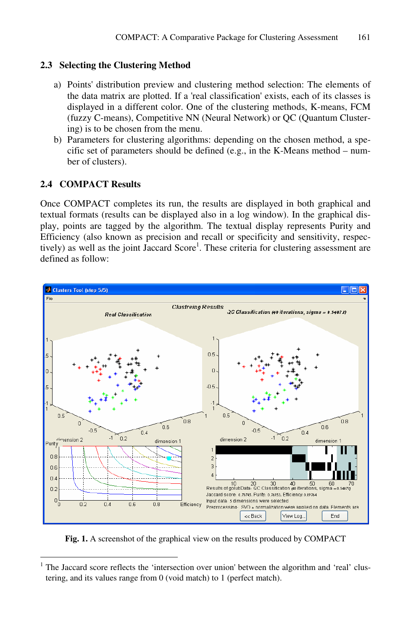### **2.3 Selecting the Clustering Method**

- a) Points' distribution preview and clustering method selection: The elements of the data matrix are plotted. If a 'real classification' exists, each of its classes is displayed in a different color. One of the clustering methods, K-means, FCM (fuzzy C-means), Competitive NN (Neural Network) or QC (Quantum Clustering) is to be chosen from the menu.
- b) Parameters for clustering algorithms: depending on the chosen method, a specific set of parameters should be defined (e.g., in the K-Means method – number of clusters).

### **2.4 COMPACT Results**

j

Once COMPACT completes its run, the results are displayed in both graphical and textual formats (results can be displayed also in a log window). In the graphical display, points are tagged by the algorithm. The textual display represents Purity and Efficiency (also known as precision and recall or specificity and sensitivity, respectively) as well as the joint Jaccard Score<sup>1</sup>. These criteria for clustering assessment are defined as follow:



**Fig. 1.** A screenshot of the graphical view on the results produced by COMPACT

<sup>&</sup>lt;sup>1</sup> The Jaccard score reflects the 'intersection over union' between the algorithm and 'real' clustering, and its values range from 0 (void match) to 1 (perfect match).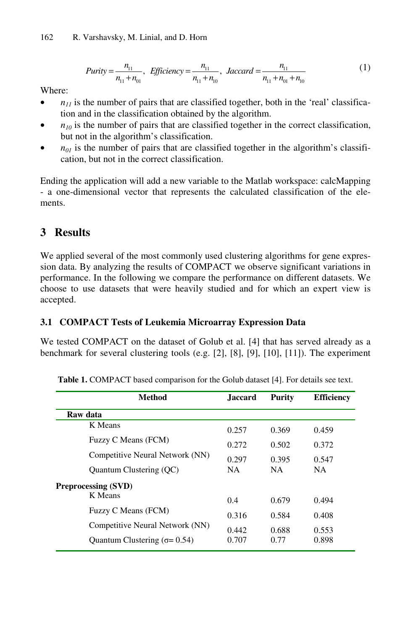$$
Purity = \frac{n_{11}}{n_{11} + n_{01}}, \quad Efficientcy = \frac{n_{11}}{n_{11} + n_{10}}, \quad Jaccard = \frac{n_{11}}{n_{11} + n_{01} + n_{10}} \tag{1}
$$

Where:

- $\bullet$  *n<sub>11</sub>* is the number of pairs that are classified together, both in the 'real' classification and in the classification obtained by the algorithm.
- $\bullet$  *n<sub>10</sub>* is the number of pairs that are classified together in the correct classification, but not in the algorithm's classification.
- $n_{01}$  is the number of pairs that are classified together in the algorithm's classification, but not in the correct classification.

Ending the application will add a new variable to the Matlab workspace: calcMapping - a one-dimensional vector that represents the calculated classification of the elements.

# **3 Results**

We applied several of the most commonly used clustering algorithms for gene expression data. By analyzing the results of COMPACT we observe significant variations in performance. In the following we compare the performance on different datasets. We choose to use datasets that were heavily studied and for which an expert view is accepted.

### **3.1 COMPACT Tests of Leukemia Microarray Expression Data**

We tested COMPACT on the dataset of Golub et al. [4] that has served already as a benchmark for several clustering tools (e.g. [2], [8], [9], [10], [11]). The experiment

| <b>Method</b>                   | <b>Jaccard</b> | <b>Purity</b> | <b>Efficiency</b> |
|---------------------------------|----------------|---------------|-------------------|
| Raw data                        |                |               |                   |
| K Means                         | 0.257          | 0.369         | 0.459             |
| Fuzzy C Means (FCM)             | 0.272          | 0.502         | 0.372             |
| Competitive Neural Network (NN) | 0.297          | 0.395         | 0.547             |
| Quantum Clustering (QC)         | <b>NA</b>      | NA.           | <b>NA</b>         |
| <b>Preprocessing (SVD)</b>      |                |               |                   |
| K Means                         | 0.4            | 0.679         | 0.494             |
| Fuzzy C Means (FCM)             | 0.316          | 0.584         | 0.408             |
| Competitive Neural Network (NN) | 0.442          | 0.688         | 0.553             |
| Quantum Clustering $(σ = 0.54)$ | 0.707          | 0.77          | 0.898             |

**Table 1.** COMPACT based comparison for the Golub dataset [4]. For details see text.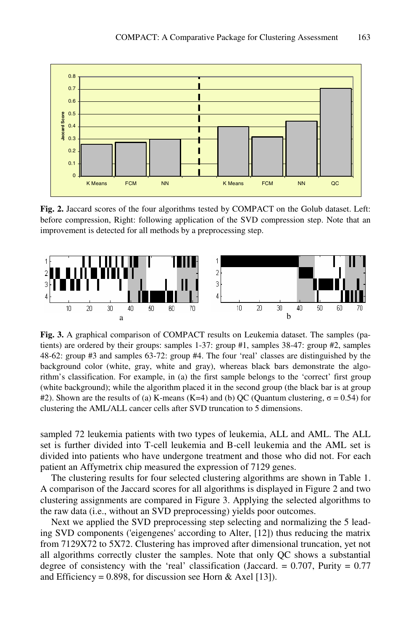

**Fig. 2.** Jaccard scores of the four algorithms tested by COMPACT on the Golub dataset. Left: before compression, Right: following application of the SVD compression step. Note that an improvement is detected for all methods by a preprocessing step.



**Fig. 3.** A graphical comparison of COMPACT results on Leukemia dataset. The samples (patients) are ordered by their groups: samples 1-37: group #1, samples 38-47: group #2, samples 48-62: group #3 and samples 63-72: group #4. The four 'real' classes are distinguished by the background color (white, gray, white and gray), whereas black bars demonstrate the algorithm's classification. For example, in (a) the first sample belongs to the 'correct' first group (white background); while the algorithm placed it in the second group (the black bar is at group #2). Shown are the results of (a) K-means (K=4) and (b) QC (Quantum clustering,  $\sigma = 0.54$ ) for clustering the AML/ALL cancer cells after SVD truncation to 5 dimensions.

sampled 72 leukemia patients with two types of leukemia, ALL and AML. The ALL set is further divided into T-cell leukemia and B-cell leukemia and the AML set is divided into patients who have undergone treatment and those who did not. For each patient an Affymetrix chip measured the expression of 7129 genes.

The clustering results for four selected clustering algorithms are shown in Table 1. A comparison of the Jaccard scores for all algorithms is displayed in Figure 2 and two clustering assignments are compared in Figure 3. Applying the selected algorithms to the raw data (i.e., without an SVD preprocessing) yields poor outcomes.

Next we applied the SVD preprocessing step selecting and normalizing the 5 leading SVD components ('eigengenes' according to Alter, [12]) thus reducing the matrix from 7129X72 to 5X72. Clustering has improved after dimensional truncation, yet not all algorithms correctly cluster the samples. Note that only QC shows a substantial degree of consistency with the 'real' classification (Jaccard.  $= 0.707$ , Purity  $= 0.77$ and Efficiency = 0.898, for discussion see Horn & Axel [13]).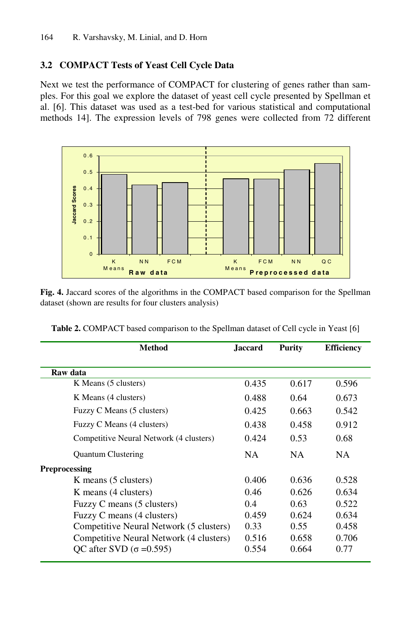### **3.2 COMPACT Tests of Yeast Cell Cycle Data**

Next we test the performance of COMPACT for clustering of genes rather than samples. For this goal we explore the dataset of yeast cell cycle presented by Spellman et al. [6]. This dataset was used as a test-bed for various statistical and computational methods 14]. The expression levels of 798 genes were collected from 72 different



**Fig. 4.** Jaccard scores of the algorithms in the COMPACT based comparison for the Spellman dataset (shown are results for four clusters analysis)

| Method                                  | <b>Jaccard</b> | <b>Purity</b> | <b>Efficiency</b> |
|-----------------------------------------|----------------|---------------|-------------------|
| Raw data                                |                |               |                   |
| K Means (5 clusters)                    | 0.435          | 0.617         | 0.596             |
| K Means (4 clusters)                    | 0.488          | 0.64          | 0.673             |
| Fuzzy C Means (5 clusters)              | 0.425          | 0.663         | 0.542             |
| Fuzzy C Means (4 clusters)              | 0.438          | 0.458         | 0.912             |
| Competitive Neural Network (4 clusters) | 0.424          | 0.53          | 0.68              |
| <b>Quantum Clustering</b>               | NA.            | NA.           | NA.               |
| <b>Preprocessing</b>                    |                |               |                   |
| K means (5 clusters)                    | 0.406          | 0.636         | 0.528             |
| K means (4 clusters)                    | 0.46           | 0.626         | 0.634             |
| Fuzzy C means (5 clusters)              | 0.4            | 0.63          | 0.522             |
| Fuzzy C means (4 clusters)              | 0.459          | 0.624         | 0.634             |
| Competitive Neural Network (5 clusters) | 0.33           | 0.55          | 0.458             |
| Competitive Neural Network (4 clusters) | 0.516          | 0.658         | 0.706             |
| OC after SVD (σ = 0.595)                | 0.554          | 0.664         | 0.77              |

**Table 2.** COMPACT based comparison to the Spellman dataset of Cell cycle in Yeast [6]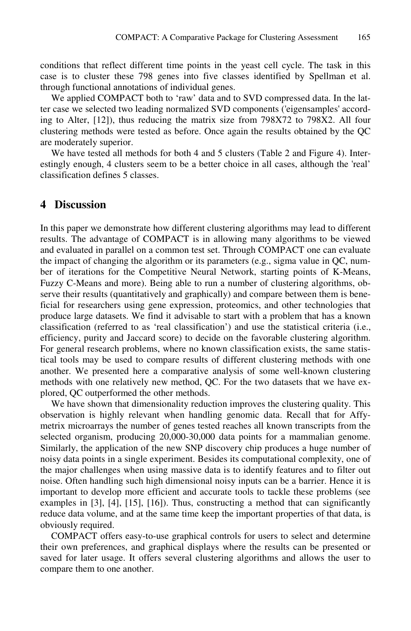conditions that reflect different time points in the yeast cell cycle. The task in this case is to cluster these 798 genes into five classes identified by Spellman et al. through functional annotations of individual genes.

We applied COMPACT both to 'raw' data and to SVD compressed data. In the latter case we selected two leading normalized SVD components ('eigensamples' according to Alter, [12]), thus reducing the matrix size from 798X72 to 798X2. All four clustering methods were tested as before. Once again the results obtained by the QC are moderately superior.

We have tested all methods for both 4 and 5 clusters (Table 2 and Figure 4). Interestingly enough, 4 clusters seem to be a better choice in all cases, although the 'real' classification defines 5 classes.

### **4 Discussion**

In this paper we demonstrate how different clustering algorithms may lead to different results. The advantage of COMPACT is in allowing many algorithms to be viewed and evaluated in parallel on a common test set. Through COMPACT one can evaluate the impact of changing the algorithm or its parameters (e.g., sigma value in  $QC$ , number of iterations for the Competitive Neural Network, starting points of K-Means, Fuzzy C-Means and more). Being able to run a number of clustering algorithms, observe their results (quantitatively and graphically) and compare between them is beneficial for researchers using gene expression, proteomics, and other technologies that produce large datasets. We find it advisable to start with a problem that has a known classification (referred to as 'real classification') and use the statistical criteria (i.e., efficiency, purity and Jaccard score) to decide on the favorable clustering algorithm. For general research problems, where no known classification exists, the same statistical tools may be used to compare results of different clustering methods with one another. We presented here a comparative analysis of some well-known clustering methods with one relatively new method, QC. For the two datasets that we have explored, QC outperformed the other methods.

We have shown that dimensionality reduction improves the clustering quality. This observation is highly relevant when handling genomic data. Recall that for Affymetrix microarrays the number of genes tested reaches all known transcripts from the selected organism, producing 20,000-30,000 data points for a mammalian genome. Similarly, the application of the new SNP discovery chip produces a huge number of noisy data points in a single experiment. Besides its computational complexity, one of the major challenges when using massive data is to identify features and to filter out noise. Often handling such high dimensional noisy inputs can be a barrier. Hence it is important to develop more efficient and accurate tools to tackle these problems (see examples in [3], [4], [15], [16]). Thus, constructing a method that can significantly reduce data volume, and at the same time keep the important properties of that data, is obviously required.

COMPACT offers easy-to-use graphical controls for users to select and determine their own preferences, and graphical displays where the results can be presented or saved for later usage. It offers several clustering algorithms and allows the user to compare them to one another.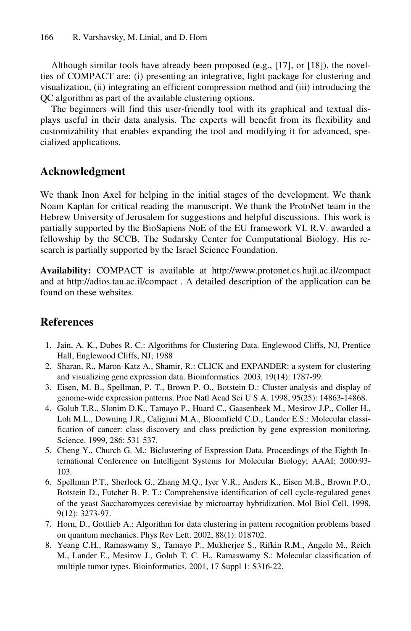Although similar tools have already been proposed (e.g., [17], or [18]), the novelties of COMPACT are: (i) presenting an integrative, light package for clustering and visualization, (ii) integrating an efficient compression method and (iii) introducing the QC algorithm as part of the available clustering options.

The beginners will find this user-friendly tool with its graphical and textual displays useful in their data analysis. The experts will benefit from its flexibility and customizability that enables expanding the tool and modifying it for advanced, specialized applications.

# **Acknowledgment**

We thank Inon Axel for helping in the initial stages of the development. We thank Noam Kaplan for critical reading the manuscript. We thank the ProtoNet team in the Hebrew University of Jerusalem for suggestions and helpful discussions. This work is partially supported by the BioSapiens NoE of the EU framework VI. R.V. awarded a fellowship by the SCCB, The Sudarsky Center for Computational Biology. His research is partially supported by the Israel Science Foundation.

**Availability:** COMPACT is available at http://www.protonet.cs.huji.ac.il/compact and at http://adios.tau.ac.il/compact . A detailed description of the application can be found on these websites.

# **References**

- 1. Jain, A. K., Dubes R. C.: Algorithms for Clustering Data. Englewood Cliffs, NJ, Prentice Hall, Englewood Cliffs, NJ; 1988
- 2. Sharan, R., Maron-Katz A., Shamir, R.: CLICK and EXPANDER: a system for clustering and visualizing gene expression data. Bioinformatics. 2003, 19(14): 1787-99.
- 3. Eisen, M. B., Spellman, P. T., Brown P. O., Botstein D.: Cluster analysis and display of genome-wide expression patterns. Proc Natl Acad Sci U S A. 1998, 95(25): 14863-14868.
- 4. Golub T.R., Slonim D.K., Tamayo P., Huard C., Gaasenbeek M., Mesirov J.P., Coller H., Loh M.L., Downing J.R., Caligiuri M.A., Bloomfield C.D., Lander E.S.: Molecular classification of cancer: class discovery and class prediction by gene expression monitoring. Science. 1999, 286: 531-537.
- 5. Cheng Y., Church G. M.: Biclustering of Expression Data. Proceedings of the Eighth International Conference on Intelligent Systems for Molecular Biology; AAAI; 2000:93- 103.
- 6. Spellman P.T., Sherlock G., Zhang M.Q., Iyer V.R., Anders K., Eisen M.B., Brown P.O., Botstein D., Futcher B. P. T.: Comprehensive identification of cell cycle-regulated genes of the yeast Saccharomyces cerevisiae by microarray hybridization. Mol Biol Cell. 1998, 9(12): 3273-97.
- 7. Horn, D., Gottlieb A.: Algorithm for data clustering in pattern recognition problems based on quantum mechanics. Phys Rev Lett. 2002, 88(1): 018702.
- 8. Yeang C.H., Ramaswamy S., Tamayo P., Mukherjee S., Rifkin R.M., Angelo M., Reich M., Lander E., Mesirov J., Golub T. C. H., Ramaswamy S.: Molecular classification of multiple tumor types. Bioinformatics. 2001, 17 Suppl 1: S316-22.